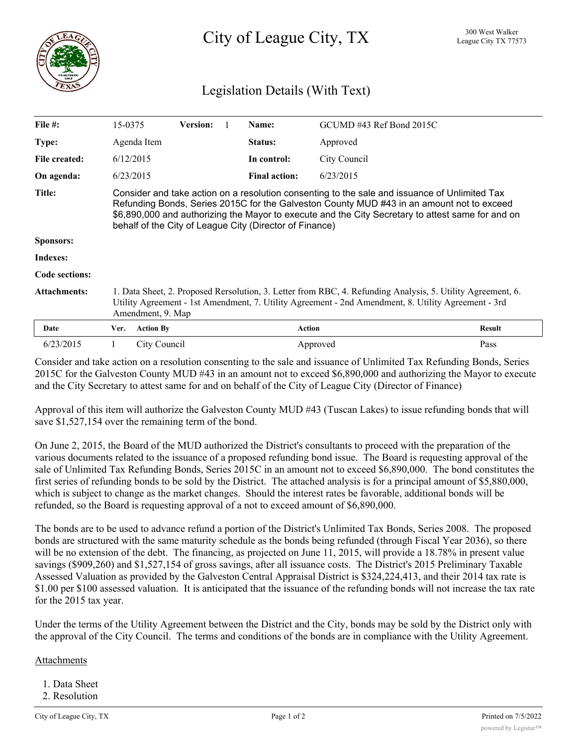

## Legislation Details (With Text)

| File $#$ :          | 15-0375                                                                                                                                                                                                                                                                                                                                                    |                  | <b>Version:</b> |  | Name:                | GCUMD #43 Ref Bond 2015C |               |
|---------------------|------------------------------------------------------------------------------------------------------------------------------------------------------------------------------------------------------------------------------------------------------------------------------------------------------------------------------------------------------------|------------------|-----------------|--|----------------------|--------------------------|---------------|
| Type:               |                                                                                                                                                                                                                                                                                                                                                            | Agenda Item      |                 |  | Status:              | Approved                 |               |
| File created:       | 6/12/2015                                                                                                                                                                                                                                                                                                                                                  |                  |                 |  | In control:          | City Council             |               |
| On agenda:          | 6/23/2015                                                                                                                                                                                                                                                                                                                                                  |                  |                 |  | <b>Final action:</b> | 6/23/2015                |               |
| <b>Title:</b>       | Consider and take action on a resolution consenting to the sale and issuance of Unlimited Tax<br>Refunding Bonds, Series 2015C for the Galveston County MUD #43 in an amount not to exceed<br>\$6,890,000 and authorizing the Mayor to execute and the City Secretary to attest same for and on<br>behalf of the City of League City (Director of Finance) |                  |                 |  |                      |                          |               |
| <b>Sponsors:</b>    |                                                                                                                                                                                                                                                                                                                                                            |                  |                 |  |                      |                          |               |
| Indexes:            |                                                                                                                                                                                                                                                                                                                                                            |                  |                 |  |                      |                          |               |
| Code sections:      |                                                                                                                                                                                                                                                                                                                                                            |                  |                 |  |                      |                          |               |
| <b>Attachments:</b> | 1. Data Sheet, 2. Proposed Rersolution, 3. Letter from RBC, 4. Refunding Analysis, 5. Utility Agreement, 6.<br>Utility Agreement - 1st Amendment, 7. Utility Agreement - 2nd Amendment, 8. Utility Agreement - 3rd<br>Amendment, 9. Map                                                                                                                    |                  |                 |  |                      |                          |               |
| Date                | Ver.                                                                                                                                                                                                                                                                                                                                                       | <b>Action By</b> |                 |  | <b>Action</b>        |                          | <b>Result</b> |
| 6/23/2015           |                                                                                                                                                                                                                                                                                                                                                            | City Council     |                 |  |                      | Approved                 | Pass          |

Consider and take action on a resolution consenting to the sale and issuance of Unlimited Tax Refunding Bonds, Series 2015C for the Galveston County MUD #43 in an amount not to exceed \$6,890,000 and authorizing the Mayor to execute and the City Secretary to attest same for and on behalf of the City of League City (Director of Finance)

Approval of this item will authorize the Galveston County MUD #43 (Tuscan Lakes) to issue refunding bonds that will save \$1,527,154 over the remaining term of the bond.

On June 2, 2015, the Board of the MUD authorized the District's consultants to proceed with the preparation of the various documents related to the issuance of a proposed refunding bond issue. The Board is requesting approval of the sale of Unlimited Tax Refunding Bonds, Series 2015C in an amount not to exceed \$6,890,000. The bond constitutes the first series of refunding bonds to be sold by the District. The attached analysis is for a principal amount of \$5,880,000, which is subject to change as the market changes. Should the interest rates be favorable, additional bonds will be refunded, so the Board is requesting approval of a not to exceed amount of \$6,890,000.

The bonds are to be used to advance refund a portion of the District's Unlimited Tax Bonds, Series 2008. The proposed bonds are structured with the same maturity schedule as the bonds being refunded (through Fiscal Year 2036), so there will be no extension of the debt. The financing, as projected on June 11, 2015, will provide a 18.78% in present value savings (\$909,260) and \$1,527,154 of gross savings, after all issuance costs. The District's 2015 Preliminary Taxable Assessed Valuation as provided by the Galveston Central Appraisal District is \$324,224,413, and their 2014 tax rate is \$1.00 per \$100 assessed valuation. It is anticipated that the issuance of the refunding bonds will not increase the tax rate for the 2015 tax year.

Under the terms of the Utility Agreement between the District and the City, bonds may be sold by the District only with the approval of the City Council. The terms and conditions of the bonds are in compliance with the Utility Agreement.

## Attachments

- 1. Data Sheet
- 2. Resolution